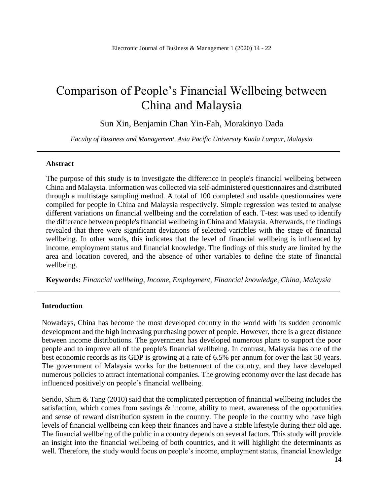# Comparison of People's Financial Wellbeing between China and Malaysia

Sun Xin, Benjamin Chan Yin-Fah, Morakinyo Dada

*Faculty of Business and Management, Asia Pacific University Kuala Lumpur, Malaysia*

#### **Abstract**

The purpose of this study is to investigate the difference in people's financial wellbeing between China and Malaysia. Information was collected via self-administered questionnaires and distributed through a multistage sampling method. A total of 100 completed and usable questionnaires were compiled for people in China and Malaysia respectively. Simple regression was tested to analyse different variations on financial wellbeing and the correlation of each. T-test was used to identify the difference between people's financial wellbeing in China and Malaysia. Afterwards, the findings revealed that there were significant deviations of selected variables with the stage of financial wellbeing. In other words, this indicates that the level of financial wellbeing is influenced by income, employment status and financial knowledge. The findings of this study are limited by the area and location covered, and the absence of other variables to define the state of financial wellbeing.

**Keywords:** *Financial wellbeing, Income, Employment, Financial knowledge, China, Malaysia*

#### **Introduction**

Nowadays, China has become the most developed country in the world with its sudden economic development and the high increasing purchasing power of people. However, there is a great distance between income distributions. The government has developed numerous plans to support the poor people and to improve all of the people's financial wellbeing. In contrast, Malaysia has one of the best economic records as its GDP is growing at a rate of 6.5% per annum for over the last 50 years. The government of Malaysia works for the betterment of the country, and they have developed numerous policies to attract international companies. The growing economy over the last decade has influenced positively on people's financial wellbeing.

Serido, Shim & Tang (2010) said that the complicated perception of financial wellbeing includes the satisfaction, which comes from savings & income, ability to meet, awareness of the opportunities and sense of reward distribution system in the country. The people in the country who have high levels of financial wellbeing can keep their finances and have a stable lifestyle during their old age. The financial wellbeing of the public in a country depends on several factors. This study will provide an insight into the financial wellbeing of both countries, and it will highlight the determinants as well. Therefore, the study would focus on people's income, employment status, financial knowledge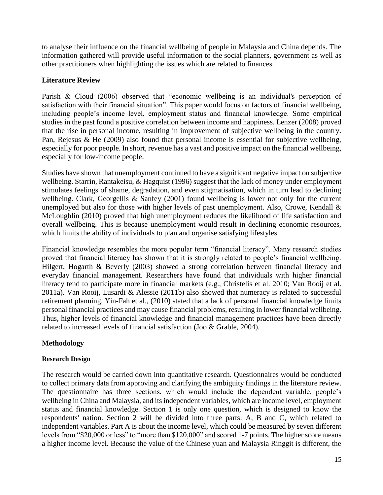to analyse their influence on the financial wellbeing of people in Malaysia and China depends. The information gathered will provide useful information to the social planners, government as well as other practitioners when highlighting the issues which are related to finances.

## **Literature Review**

Parish & Cloud (2006) observed that "economic wellbeing is an individual's perception of satisfaction with their financial situation". This paper would focus on factors of financial wellbeing, including people's income level, employment status and financial knowledge. Some empirical studies in the past found a positive correlation between income and happiness. Lenzer (2008) proved that the rise in personal income, resulting in improvement of subjective wellbeing in the country. Pan, Rejesus & He (2009) also found that personal income is essential for subjective wellbeing, especially for poor people. In short, revenue has a vast and positive impact on the financial wellbeing, especially for low-income people.

Studies have shown that unemployment continued to have a significant negative impact on subjective wellbeing. Starrin, Rantakeisu, & Hagquist (1996) suggest that the lack of money under employment stimulates feelings of shame, degradation, and even stigmatisation, which in turn lead to declining wellbeing. Clark, Georgellis & Sanfey (2001) found wellbeing is lower not only for the current unemployed but also for those with higher levels of past unemployment. Also, Crowe, Kendall  $\&$ McLoughlin (2010) proved that high unemployment reduces the likelihood of life satisfaction and overall wellbeing. This is because unemployment would result in declining economic resources, which limits the ability of individuals to plan and organise satisfying lifestyles.

Financial knowledge resembles the more popular term "financial literacy". Many research studies proved that financial literacy has shown that it is strongly related to people's financial wellbeing. Hilgert, Hogarth & Beverly (2003) showed a strong correlation between financial literacy and everyday financial management. Researchers have found that individuals with higher financial literacy tend to participate more in financial markets (e.g., Christelis et al. 2010; Van Rooij et al. 2011a). Van Rooij, Lusardi & Alessie (2011b) also showed that numeracy is related to successful retirement planning. Yin-Fah et al., (2010) stated that a lack of personal financial knowledge limits personal financial practices and may cause financial problems, resulting in lower financial wellbeing. Thus, higher levels of financial knowledge and financial management practices have been directly related to increased levels of financial satisfaction (Joo & Grable, 2004).

## **Methodology**

## **Research Design**

The research would be carried down into quantitative research. Questionnaires would be conducted to collect primary data from approving and clarifying the ambiguity findings in the literature review. The questionnaire has three sections, which would include the dependent variable, people's wellbeing in China and Malaysia, and its independent variables, which are income level, employment status and financial knowledge. Section 1 is only one question, which is designed to know the respondents' nation. Section 2 will be divided into three parts: A, B and C, which related to independent variables. Part A is about the income level, which could be measured by seven different levels from "\$20,000 or less" to "more than \$120,000" and scored 1-7 points. The higher score means a higher income level. Because the value of the Chinese yuan and Malaysia Ringgit is different, the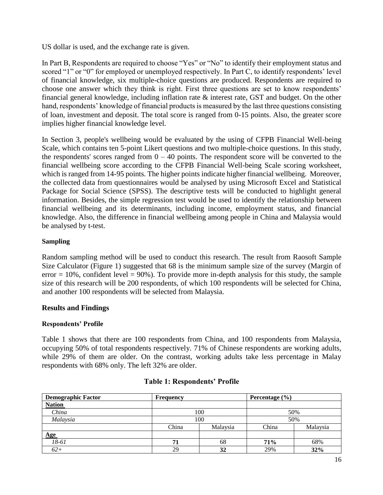US dollar is used, and the exchange rate is given.

In Part B, Respondents are required to choose "Yes" or "No" to identify their employment status and scored "1" or "0" for employed or unemployed respectively. In Part C, to identify respondents' level of financial knowledge, six multiple-choice questions are produced. Respondents are required to choose one answer which they think is right. First three questions are set to know respondents' financial general knowledge, including inflation rate & interest rate, GST and budget. On the other hand, respondents' knowledge of financial products is measured by the last three questions consisting of loan, investment and deposit. The total score is ranged from 0-15 points. Also, the greater score implies higher financial knowledge level.

In Section 3, people's wellbeing would be evaluated by the using of CFPB Financial Well-being Scale, which contains ten 5-point Likert questions and two multiple-choice questions. In this study, the respondents' scores ranged from  $0 - 40$  points. The respondent score will be converted to the financial wellbeing score according to the CFPB Financial Well-being Scale scoring worksheet, which is ranged from 14-95 points. The higher points indicate higher financial wellbeing. Moreover, the collected data from questionnaires would be analysed by using Microsoft Excel and Statistical Package for Social Science (SPSS). The descriptive tests will be conducted to highlight general information. Besides, the simple regression test would be used to identify the relationship between financial wellbeing and its determinants, including income, employment status, and financial knowledge. Also, the difference in financial wellbeing among people in China and Malaysia would be analysed by t-test.

#### **Sampling**

Random sampling method will be used to conduct this research. The result from Raosoft Sample Size Calculator (Figure 1) suggested that 68 is the minimum sample size of the survey (Margin of error  $= 10\%$ , confident level  $= 90\%$ ). To provide more in-depth analysis for this study, the sample size of this research will be 200 respondents, of which 100 respondents will be selected for China, and another 100 respondents will be selected from Malaysia.

## **Results and Findings**

#### **Respondents' Profile**

Table 1 shows that there are 100 respondents from China, and 100 respondents from Malaysia, occupying 50% of total respondents respectively. 71% of Chinese respondents are working adults, while 29% of them are older. On the contrast, working adults take less percentage in Malay respondents with 68% only. The left 32% are older.

| <b>Demographic Factor</b> | <b>Frequency</b>  |     | Percentage $(\% )$ |          |  |  |
|---------------------------|-------------------|-----|--------------------|----------|--|--|
| <b>Nation</b>             |                   |     |                    |          |  |  |
| China                     |                   | 100 | 50%                |          |  |  |
| Malaysia                  |                   | 100 | 50%                |          |  |  |
|                           | Malaysia<br>China |     | China              | Malaysia |  |  |
| Age                       |                   |     |                    |          |  |  |
| 18-61                     | 71                | 68  | 71%                | 68%      |  |  |
| $62+$                     | 29                | 32  | 29%                | 32%      |  |  |

## **Table 1: Respondents' Profile**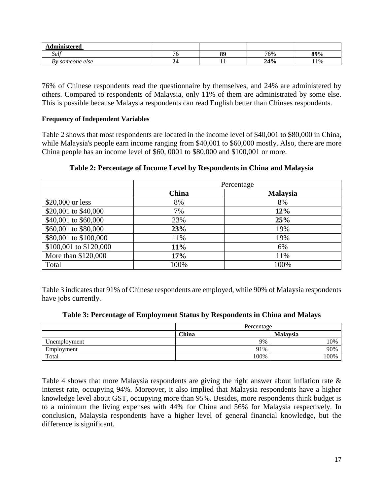| п.<br>dministered |    |     |              |     |
|-------------------|----|-----|--------------|-----|
| Self              | ◡  | 89  | 76%          | 89% |
| someone else      | -- | . . | 240/<br>4470 | 11% |

76% of Chinese respondents read the questionnaire by themselves, and 24% are administered by others. Compared to respondents of Malaysia, only 11% of them are administrated by some else. This is possible because Malaysia respondents can read English better than Chinses respondents.

#### **Frequency of Independent Variables**

Table 2 shows that most respondents are located in the income level of \$40,001 to \$80,000 in China, while Malaysia's people earn income ranging from \$40,001 to \$60,000 mostly. Also, there are more China people has an income level of \$60, 0001 to \$80,000 and \$100,001 or more.

|                        |              | Percentage      |
|------------------------|--------------|-----------------|
|                        | <b>China</b> | <b>Malaysia</b> |
| \$20,000 or less       | 8%           | 8%              |
| \$20,001 to \$40,000   | 7%           | 12%             |
| \$40,001 to \$60,000   | 23%          | 25%             |
| \$60,001 to \$80,000   | 23%          | 19%             |
| \$80,001 to \$100,000  | 11%          | 19%             |
| \$100,001 to \$120,000 | 11%          | 6%              |
| More than \$120,000    | 17%          | 11%             |
| Total                  | 100%         | 100%            |

**Table 2: Percentage of Income Level by Respondents in China and Malaysia**

Table 3 indicates that 91% of Chinese respondents are employed, while 90% of Malaysia respondents have jobs currently.

|  |  | Table 3: Percentage of Employment Status by Respondents in China and Malays |
|--|--|-----------------------------------------------------------------------------|
|  |  |                                                                             |

|              | Percentage |                 |  |  |  |
|--------------|------------|-----------------|--|--|--|
|              | China      | <b>Malaysia</b> |  |  |  |
| Unemployment | 9%         | 10%             |  |  |  |
| Employment   | 91%        | 90%             |  |  |  |
| Total        | 100%       | 100%            |  |  |  |

Table 4 shows that more Malaysia respondents are giving the right answer about inflation rate & interest rate, occupying 94%. Moreover, it also implied that Malaysia respondents have a higher knowledge level about GST, occupying more than 95%. Besides, more respondents think budget is to a minimum the living expenses with 44% for China and 56% for Malaysia respectively. In conclusion, Malaysia respondents have a higher level of general financial knowledge, but the difference is significant.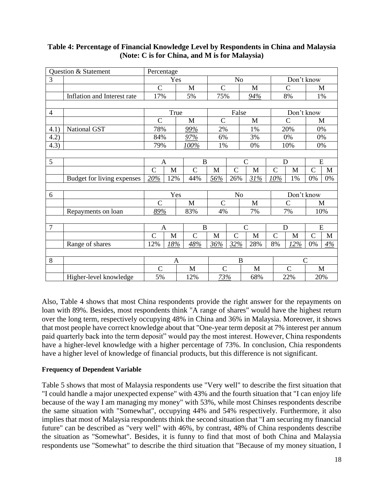|                | Question & Statement        | Percentage     |              |                |                |                |                |               |               |                |              |
|----------------|-----------------------------|----------------|--------------|----------------|----------------|----------------|----------------|---------------|---------------|----------------|--------------|
| 3              |                             |                | Yes          |                | N <sub>o</sub> |                |                |               | Don't know    |                |              |
|                |                             | $\mathsf{C}$   |              | M              | $\overline{C}$ |                | M              |               | $\mathcal{C}$ |                | M            |
|                | Inflation and Interest rate | 17%            |              | 5%             | 75%            |                | 94%            |               | 8%            |                | 1%           |
|                |                             |                |              |                |                |                |                |               |               |                |              |
| $\overline{4}$ |                             |                | True         |                |                | False          |                |               | Don't know    |                |              |
|                |                             | $\overline{C}$ |              | $\mathbf{M}$   | $\mathcal{C}$  |                | M              |               | $\mathcal{C}$ |                | M            |
| 4.1)           | National GST                | 78%            |              | 99%            | 2%             |                | 1%             |               | 20%           | 0%             |              |
| 4.2)           |                             | 84%            |              | 97%            | 6%             |                | 3%             |               | 0%            |                | 0%           |
| 4.3)           |                             | 79%            |              | $100\%$        | 1%             |                | 0%             |               | 10%           | 0%             |              |
|                |                             |                |              |                |                |                |                |               |               |                |              |
| 5              |                             | $\mathbf{A}$   |              | $\overline{B}$ |                |                | $\overline{C}$ | D             |               | E              |              |
|                |                             | $\overline{C}$ | $\mathbf{M}$ | $\overline{C}$ | $\mathbf{M}$   | $\mathcal{C}$  | M              | $\mathcal{C}$ | $\mathbf{M}$  | $\mathcal{C}$  | $\mathbf{M}$ |
|                | Budget for living expenses  | 20%            | 12%          | 44%            | 56%            | 26%            | 31%            | 10%           | 1%            | 0%             | 0%           |
|                |                             |                |              |                |                |                |                |               |               |                |              |
| 6              |                             |                | Yes          |                | N <sub>o</sub> |                |                |               | Don't know    |                |              |
|                |                             | $\mathcal{C}$  |              | $\mathbf{M}$   | $\mathcal{C}$  |                | $\mathbf{M}$   |               | $\mathsf{C}$  |                | M            |
|                | Repayments on loan          | 89%            |              | 83%            | 4%             |                | 7%             |               | 7%            |                | 10%          |
|                |                             |                |              |                |                |                |                |               |               |                |              |
| $\overline{7}$ |                             | $\mathbf{A}$   |              | $\bf{B}$       |                |                | $\mathcal{C}$  | D             |               | E              |              |
|                |                             | $\overline{C}$ | $\mathbf M$  | $\overline{C}$ | $\mathbf{M}$   | $\mathcal{C}$  | M              | $\mathcal{C}$ | $\mathbf M$   | $\overline{C}$ | $\mathbf M$  |
|                | Range of shares             | 12%            | 18%          | 48%            | 36%            | 32%            | 28%            | 8%            | 12%           | 0%             | 4%           |
|                |                             |                |              |                |                |                |                |               |               |                |              |
| 8              |                             |                | $\mathbf{A}$ |                |                | $\overline{B}$ |                |               |               | $\overline{C}$ |              |
|                |                             | $\mathcal{C}$  |              | M              | $\overline{C}$ |                | M              |               | $\mathcal{C}$ | M              |              |
|                | Higher-level knowledge      | 5%             |              | 12%            | 73%            |                | 68%            |               | 22%           | 20%            |              |

## **Table 4: Percentage of Financial Knowledge Level by Respondents in China and Malaysia (Note: C is for China, and M is for Malaysia)**

Also, Table 4 shows that most China respondents provide the right answer for the repayments on loan with 89%. Besides, most respondents think "A range of shares" would have the highest return over the long term, respectively occupying 48% in China and 36% in Malaysia. Moreover, it shows that most people have correct knowledge about that "One-year term deposit at 7% interest per annum paid quarterly back into the term deposit" would pay the most interest. However, China respondents have a higher-level knowledge with a higher percentage of 73%. In conclusion, Chia respondents have a higher level of knowledge of financial products, but this difference is not significant.

## **Frequency of Dependent Variable**

Table 5 shows that most of Malaysia respondents use "Very well" to describe the first situation that "I could handle a major unexpected expense" with 43% and the fourth situation that "I can enjoy life because of the way I am managing my money" with 53%, while most Chinses respondents describe the same situation with "Somewhat", occupying 44% and 54% respectively. Furthermore, it also implies that most of Malaysia respondents think the second situation that "I am securing my financial future" can be described as "very well" with 46%, by contrast, 48% of China respondents describe the situation as "Somewhat". Besides, it is funny to find that most of both China and Malaysia respondents use "Somewhat" to describe the third situation that "Because of my money situation, I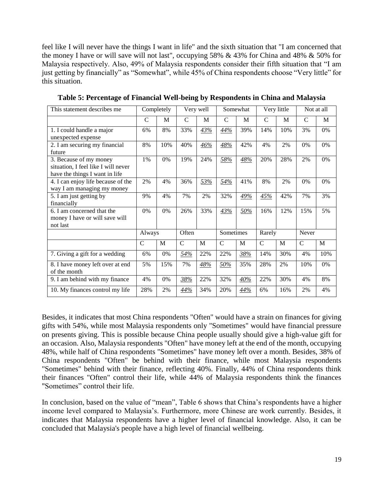feel like I will never have the things I want in life" and the sixth situation that "I am concerned that the money I have or will save will not last", occupying 58%  $& 43\%$  for China and 48%  $& 50\%$  for Malaysia respectively. Also, 49% of Malaysia respondents consider their fifth situation that "I am just getting by financially" as "Somewhat", while 45% of China respondents choose "Very little" for this situation.

| This statement describes me                                                                     |              | Completely |             | Very well | Somewhat      |     | Very little   |     | Not at all    |       |
|-------------------------------------------------------------------------------------------------|--------------|------------|-------------|-----------|---------------|-----|---------------|-----|---------------|-------|
|                                                                                                 | C            | M          | C           | M         | C             | M   | C             | M   | $\mathcal{C}$ | M     |
| 1. I could handle a major<br>unexpected expense                                                 | 6%           | 8%         | 33%         | 43%       | 44%           | 39% | 14%           | 10% | 3%            | 0%    |
| 2. I am securing my financial<br>future                                                         | 8%           | 10%        | 40%         | 46%       | 48%           | 42% | 4%            | 2%  | 0%            | 0%    |
| 3. Because of my money<br>situation, I feel like I will never<br>have the things I want in life | $1\%$        | 0%         | 19%         | 24%       | 58%           | 48% | 20%           | 28% | 2%            | 0%    |
| 4. I can enjoy life because of the<br>way I am managing my money                                | 2%           | 4%         | 36%         | 53%       | 54%           | 41% | 8%            | 2%  | 0%            | $0\%$ |
| 5. I am just getting by<br>financially                                                          | 9%           | 4%         | 7%          | 2%        | 32%           | 49% | 45%           | 42% | 7%            | 3%    |
| 6. I am concerned that the<br>money I have or will save will<br>not last                        | 0%           | 0%         | 26%         | 33%       | 43%           | 50% | 16%           | 12% | 15%           | 5%    |
|                                                                                                 | Always       |            | Often       |           | Sometimes     |     | Rarely        |     | Never         |       |
|                                                                                                 | $\mathsf{C}$ | M          | $\mathbf C$ | M         | $\mathcal{C}$ | M   | $\mathcal{C}$ | M   | $\mathbf C$   | M     |
| 7. Giving a gift for a wedding                                                                  | 6%           | 0%         | 54%         | 22%       | 22%           | 38% | 14%           | 30% | 4%            | 10%   |
| 8. I have money left over at end<br>of the month                                                | 5%           | 15%        | 7%          | 48%       | 50%           | 35% | 28%           | 2%  | 10%           | 0%    |
| 9. I am behind with my finance                                                                  | 4%           | 0%         | 38%         | 22%       | 32%           | 40% | 22%           | 30% | 4%            | 8%    |
| 10. My finances control my life                                                                 | 28%          | 2%         | 44%         | 34%       | 20%           | 44% | 6%            | 16% | 2%            | 4%    |

**Table 5: Percentage of Financial Well-being by Respondents in China and Malaysia**

Besides, it indicates that most China respondents "Often" would have a strain on finances for giving gifts with 54%, while most Malaysia respondents only "Sometimes" would have financial pressure on presents giving. This is possible because China people usually should give a high-value gift for an occasion. Also, Malaysia respondents "Often" have money left at the end of the month, occupying 48%, while half of China respondents "Sometimes" have money left over a month. Besides, 38% of China respondents "Often" be behind with their finance, while most Malaysia respondents "Sometimes" behind with their finance, reflecting 40%. Finally, 44% of China respondents think their finances "Often" control their life, while 44% of Malaysia respondents think the finances "Sometimes" control their life.

In conclusion, based on the value of "mean", Table 6 shows that China's respondents have a higher income level compared to Malaysia's. Furthermore, more Chinese are work currently. Besides, it indicates that Malaysia respondents have a higher level of financial knowledge. Also, it can be concluded that Malaysia's people have a high level of financial wellbeing.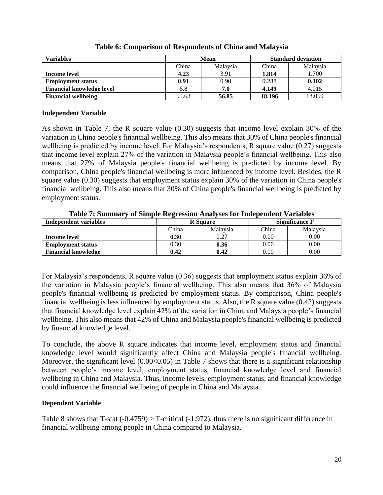| Variables                        |                   | Mean  | <b>Standard deviation</b> |          |  |
|----------------------------------|-------------------|-------|---------------------------|----------|--|
|                                  | Malaysia<br>China |       | China                     | Malaysia |  |
| Income level                     | 4.23              | 3.91  | 1.814                     | 1.700    |  |
| <b>Employment status</b>         | 0.91              | 0.90  | 0.288                     | 0.302    |  |
| <b>Financial knowledge level</b> | 6.8               | 7.0   | 4.149                     | 4.015    |  |
| <b>Financial wellbeing</b>       | 55.63             | 56.85 | 18.196                    | 18.059   |  |

**Table 6: Comparison of Respondents of China and Malaysia**

#### **Independent Variable**

As shown in Table 7, the R square value (0.30) suggests that income level explain 30% of the variation in China people's financial wellbeing. This also means that 30% of China people's financial wellbeing is predicted by income level. For Malaysia's respondents, R square value (0.27) suggests that income level explain 27% of the variation in Malaysia people's financial wellbeing. This also means that 27% of Malaysia people's financial wellbeing is predicted by income level. By comparison, China people's financial wellbeing is more influenced by income level. Besides, the R square value (0.30) suggests that employment status explain 30% of the variation in China people's financial wellbeing. This also means that 30% of China people's financial wellbeing is predicted by employment status.

| Independent variables      |       | <b>R</b> Square | <b>Significance F</b> |          |  |
|----------------------------|-------|-----------------|-----------------------|----------|--|
|                            | China | Malaysia        | China                 | Malaysia |  |
| Income level               | 0.30  | 0.27            | 0.00                  | 0.00     |  |
| <b>Employment status</b>   | 0.30  | 0.36            | 0.00                  | 0.00     |  |
| <b>Financial knowledge</b> | 0.42  | 0.42            | 0.00                  | 0.00     |  |

**Table 7: Summary of Simple Regression Analyses for Independent Variables**

For Malaysia's respondents, R square value (0.36) suggests that employment status explain 36% of the variation in Malaysia people's financial wellbeing. This also means that 36% of Malaysia people's financial wellbeing is predicted by employment status. By comparison, China people's financial wellbeing is less influenced by employment status. Also, the R square value (0.42) suggests that financial knowledge level explain 42% of the variation in China and Malaysia people's financial wellbeing. This also means that 42% of China and Malaysia people's financial wellbeing is predicted by financial knowledge level.

To conclude, the above R square indicates that income level, employment status and financial knowledge level would significantly affect China and Malaysia people's financial wellbeing. Moreover, the significant level  $(0.00<0.05)$  in Table 7 shows that there is a significant relationship between people's income level, employment status, financial knowledge level and financial wellbeing in China and Malaysia. Thus, income levels, employment status, and financial knowledge could influence the financial wellbeing of people in China and Malaysia.

## **Dependent Variable**

Table 8 shows that T-stat  $(-0.4759) > T$ -critical  $(-1.972)$ , thus there is no significant difference in financial wellbeing among people in China compared to Malaysia.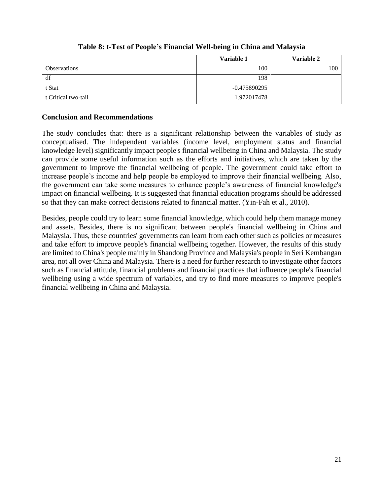|                     | Variable 1   | Variable 2 |
|---------------------|--------------|------------|
| <b>Observations</b> | 100          | 100        |
| df                  | 198          |            |
| t Stat              | -0.475890295 |            |
| t Critical two-tail | 1.972017478  |            |

## **Table 8: t-Test of People's Financial Well-being in China and Malaysia**

#### **Conclusion and Recommendations**

The study concludes that: there is a significant relationship between the variables of study as conceptualised. The independent variables (income level, employment status and financial knowledge level) significantly impact people's financial wellbeing in China and Malaysia. The study can provide some useful information such as the efforts and initiatives, which are taken by the government to improve the financial wellbeing of people. The government could take effort to increase people's income and help people be employed to improve their financial wellbeing. Also, the government can take some measures to enhance people's awareness of financial knowledge's impact on financial wellbeing. It is suggested that financial education programs should be addressed so that they can make correct decisions related to financial matter. (Yin-Fah et al., 2010).

Besides, people could try to learn some financial knowledge, which could help them manage money and assets. Besides, there is no significant between people's financial wellbeing in China and Malaysia. Thus, these countries' governments can learn from each other such as policies or measures and take effort to improve people's financial wellbeing together. However, the results of this study are limited to China's people mainly in Shandong Province and Malaysia's people in Seri Kembangan area, not all over China and Malaysia. There is a need for further research to investigate other factors such as financial attitude, financial problems and financial practices that influence people's financial wellbeing using a wide spectrum of variables, and try to find more measures to improve people's financial wellbeing in China and Malaysia.